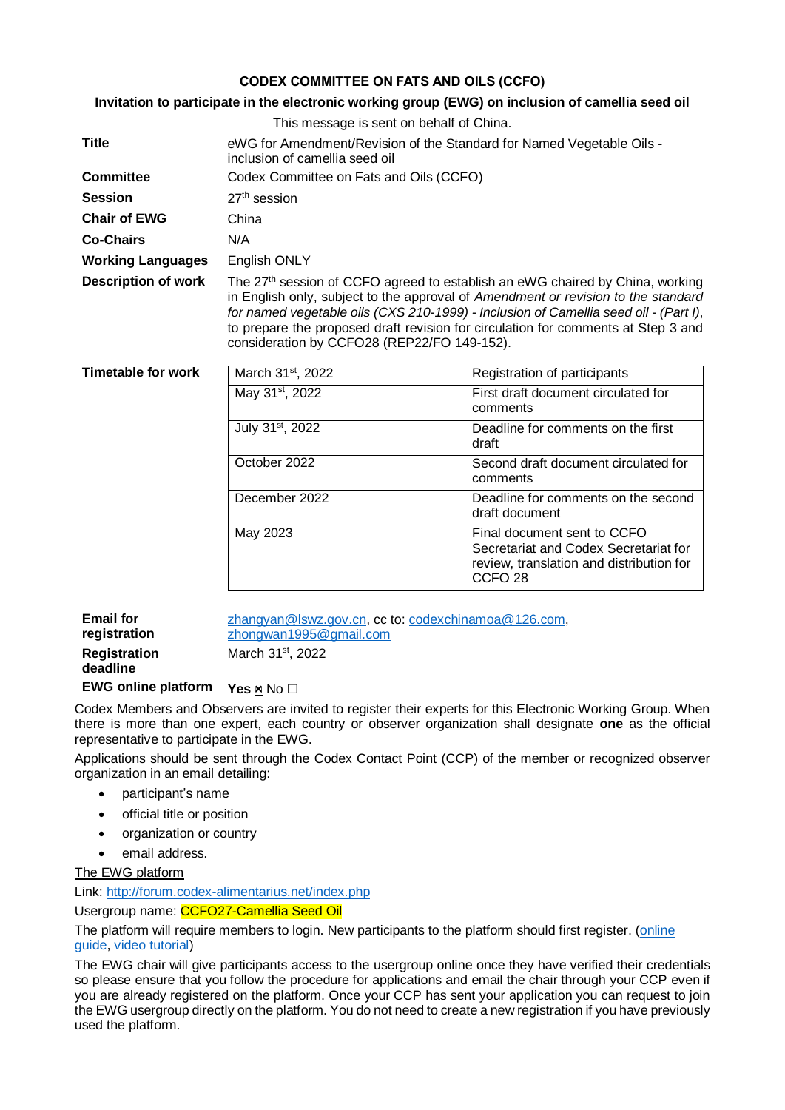### **CODEX COMMITTEE ON FATS AND OILS (CCFO)**

#### **Invitation to participate in the electronic working group (EWG) on inclusion of camellia seed oil**

|                            | This message is sent on behalf of China.    |                                                                                                                                                                                                                                                                                                                                                             |
|----------------------------|---------------------------------------------|-------------------------------------------------------------------------------------------------------------------------------------------------------------------------------------------------------------------------------------------------------------------------------------------------------------------------------------------------------------|
| <b>Title</b>               | inclusion of camellia seed oil              | eWG for Amendment/Revision of the Standard for Named Vegetable Oils -                                                                                                                                                                                                                                                                                       |
| <b>Committee</b>           | Codex Committee on Fats and Oils (CCFO)     |                                                                                                                                                                                                                                                                                                                                                             |
| <b>Session</b>             | $27th$ session                              |                                                                                                                                                                                                                                                                                                                                                             |
| <b>Chair of EWG</b>        | China                                       |                                                                                                                                                                                                                                                                                                                                                             |
| <b>Co-Chairs</b>           | N/A                                         |                                                                                                                                                                                                                                                                                                                                                             |
| <b>Working Languages</b>   | English ONLY                                |                                                                                                                                                                                                                                                                                                                                                             |
| <b>Description of work</b> | consideration by CCFO28 (REP22/FO 149-152). | The 27 <sup>th</sup> session of CCFO agreed to establish an eWG chaired by China, working<br>in English only, subject to the approval of Amendment or revision to the standard<br>for named vegetable oils (CXS 210-1999) - Inclusion of Camellia seed oil - (Part I),<br>to prepare the proposed draft revision for circulation for comments at Step 3 and |
| <b>Timetable for work</b>  | March 31 <sup>st</sup> , 2022               | Registration of participants                                                                                                                                                                                                                                                                                                                                |
|                            | May 31 <sup>st</sup> , 2022                 | First draft document circulated for<br>comments                                                                                                                                                                                                                                                                                                             |
|                            | July 31st, 2022                             | Deadline for comments on the first<br>draft                                                                                                                                                                                                                                                                                                                 |
|                            | October 2022                                | Second draft document circulated for<br>comments                                                                                                                                                                                                                                                                                                            |
|                            | December 2022                               | Deadline for comments on the second<br>draft document                                                                                                                                                                                                                                                                                                       |
|                            | May 2023                                    | Final document sent to CCFO<br>Secretariat and Codex Secretariat for<br>review, translation and distribution for<br>CCFO <sub>28</sub>                                                                                                                                                                                                                      |

| <b>Email for</b>                | zhangyan@Iswz.gov.cn, cc to: codexchinamoa@126.com, |  |
|---------------------------------|-----------------------------------------------------|--|
| registration                    | zhongwan1995@gmail.com                              |  |
| <b>Registration</b><br>deadline | March 31 <sup>st</sup> , 2022                       |  |

# **EWG online platform Yes <u>×</u>** No □

Codex Members and Observers are invited to register their experts for this Electronic Working Group. When there is more than one expert, each country or observer organization shall designate **one** as the official representative to participate in the EWG.

Applications should be sent through the Codex Contact Point (CCP) of the member or recognized observer organization in an email detailing:

- participant's name
- official title or position
- organization or country
- email address.

The EWG platform

Link:<http://forum.codex-alimentarius.net/index.php>

Usergroup name: CCFO27-Camellia Seed Oil

The platform will require members to login. New participants to the platform should first register. (online [guide,](http://forum.codex-alimentarius.net/viewtopic.php?f=13&t=11) [video tutorial\)](https://youtu.be/EJn9k7wNSwk)

The EWG chair will give participants access to the usergroup online once they have verified their credentials so please ensure that you follow the procedure for applications and email the chair through your CCP even if you are already registered on the platform. Once your CCP has sent your application you can request to join the EWG usergroup directly on the platform. You do not need to create a new registration if you have previously used the platform.